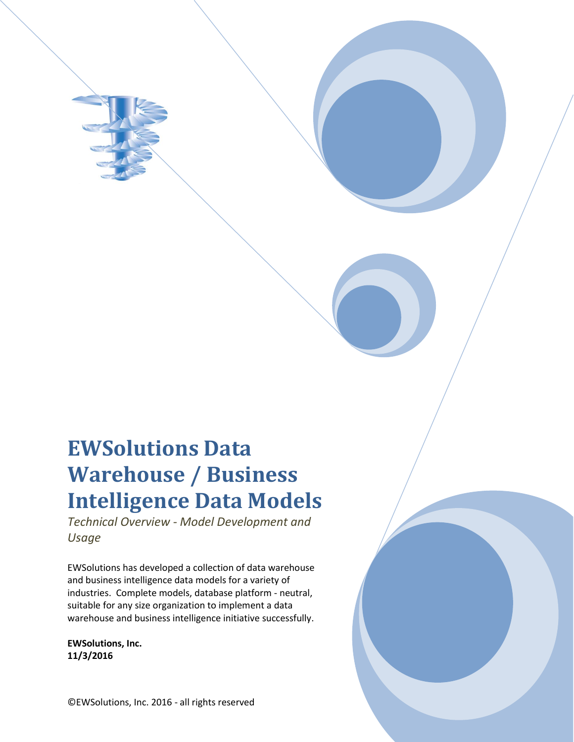# **EWSolutions Data Warehouse / Business Intelligence Data Models**

*Technical Overview - Model Development and Usage*

EWSolutions has developed a collection of data warehouse and business intelligence data models for a variety of industries. Complete models, database platform - neutral, suitable for any size organization to implement a data warehouse and business intelligence initiative successfully.

**EWSolutions, Inc. 11/3/2016**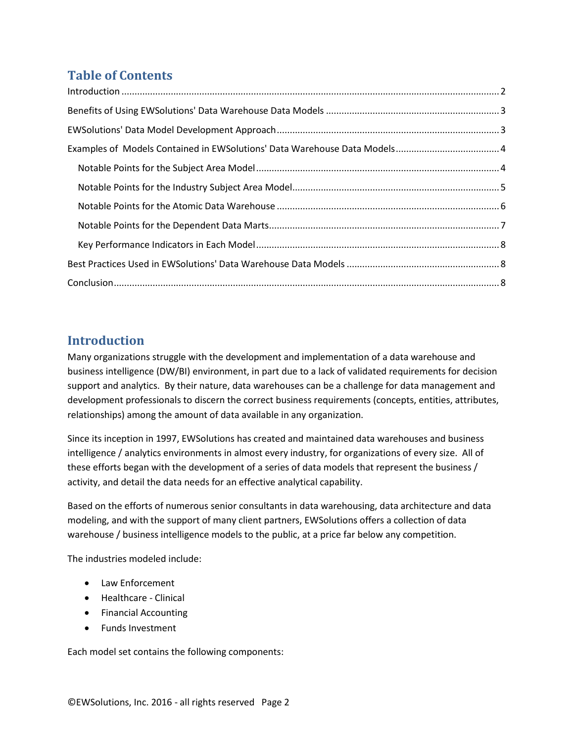## **Table of Contents**

## <span id="page-1-0"></span>**Introduction**

Many organizations struggle with the development and implementation of a data warehouse and business intelligence (DW/BI) environment, in part due to a lack of validated requirements for decision support and analytics. By their nature, data warehouses can be a challenge for data management and development professionals to discern the correct business requirements (concepts, entities, attributes, relationships) among the amount of data available in any organization.

Since its inception in 1997, EWSolutions has created and maintained data warehouses and business intelligence / analytics environments in almost every industry, for organizations of every size. All of these efforts began with the development of a series of data models that represent the business / activity, and detail the data needs for an effective analytical capability.

Based on the efforts of numerous senior consultants in data warehousing, data architecture and data modeling, and with the support of many client partners, EWSolutions offers a collection of data warehouse / business intelligence models to the public, at a price far below any competition.

The industries modeled include:

- Law Enforcement
- Healthcare Clinical
- Financial Accounting
- Funds Investment

Each model set contains the following components: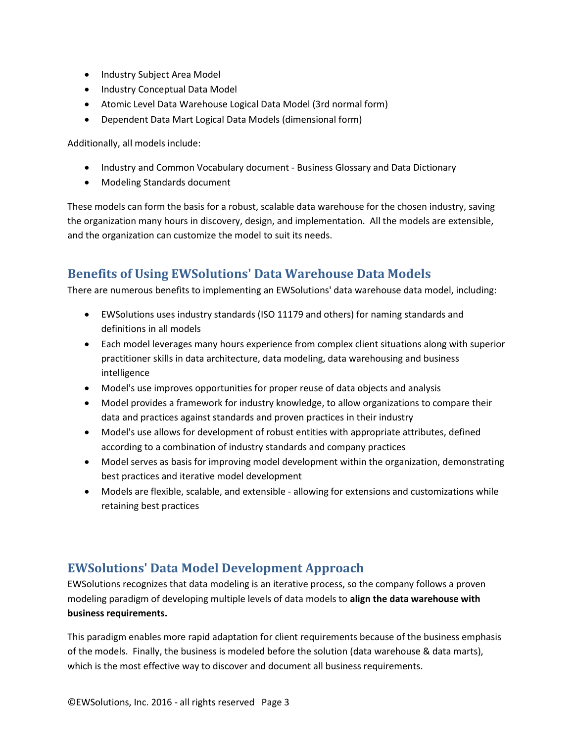- Industry Subject Area Model
- Industry Conceptual Data Model
- Atomic Level Data Warehouse Logical Data Model (3rd normal form)
- Dependent Data Mart Logical Data Models (dimensional form)

Additionally, all models include:

- Industry and Common Vocabulary document Business Glossary and Data Dictionary
- Modeling Standards document

These models can form the basis for a robust, scalable data warehouse for the chosen industry, saving the organization many hours in discovery, design, and implementation. All the models are extensible, and the organization can customize the model to suit its needs.

## <span id="page-2-0"></span>**Benefits of Using EWSolutions' Data Warehouse Data Models**

There are numerous benefits to implementing an EWSolutions' data warehouse data model, including:

- EWSolutions uses industry standards (ISO 11179 and others) for naming standards and definitions in all models
- Each model leverages many hours experience from complex client situations along with superior practitioner skills in data architecture, data modeling, data warehousing and business intelligence
- Model's use improves opportunities for proper reuse of data objects and analysis
- Model provides a framework for industry knowledge, to allow organizations to compare their data and practices against standards and proven practices in their industry
- Model's use allows for development of robust entities with appropriate attributes, defined according to a combination of industry standards and company practices
- Model serves as basis for improving model development within the organization, demonstrating best practices and iterative model development
- Models are flexible, scalable, and extensible allowing for extensions and customizations while retaining best practices

## <span id="page-2-1"></span>**EWSolutions' Data Model Development Approach**

EWSolutions recognizes that data modeling is an iterative process, so the company follows a proven modeling paradigm of developing multiple levels of data models to **align the data warehouse with business requirements.**

This paradigm enables more rapid adaptation for client requirements because of the business emphasis of the models. Finally, the business is modeled before the solution (data warehouse & data marts), which is the most effective way to discover and document all business requirements.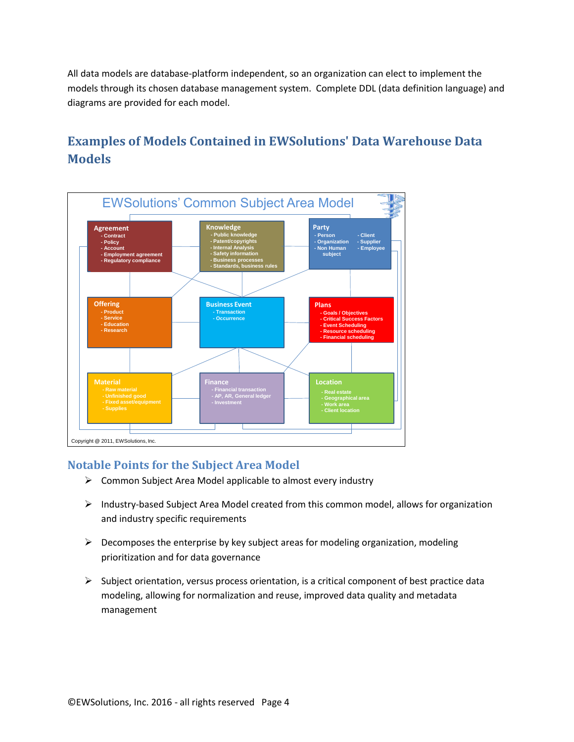All data models are database-platform independent, so an organization can elect to implement the models through its chosen database management system. Complete DDL (data definition language) and diagrams are provided for each model.

# <span id="page-3-0"></span>**Examples of Models Contained in EWSolutions' Data Warehouse Data Models**



#### <span id="page-3-1"></span>**Notable Points for the Subject Area Model**

- $\triangleright$  Common Subject Area Model applicable to almost every industry
- $\triangleright$  Industry-based Subject Area Model created from this common model, allows for organization and industry specific requirements
- $\triangleright$  Decomposes the enterprise by key subject areas for modeling organization, modeling prioritization and for data governance
- $\triangleright$  Subject orientation, versus process orientation, is a critical component of best practice data modeling, allowing for normalization and reuse, improved data quality and metadata management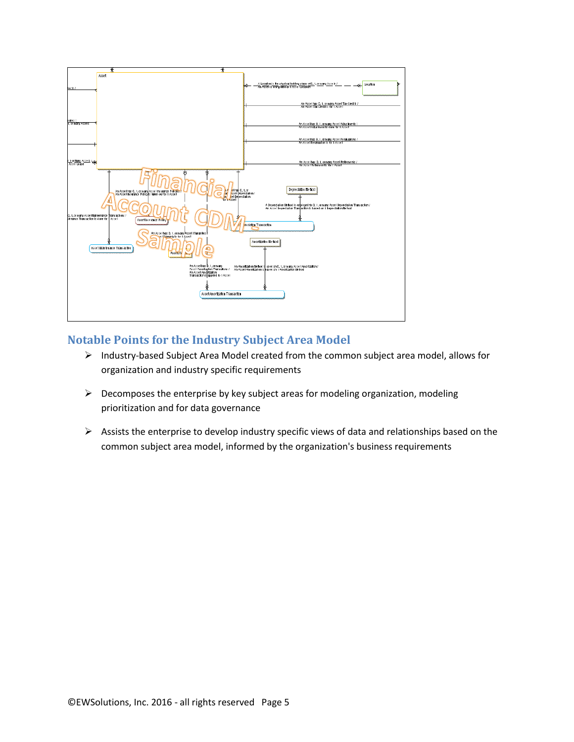

#### <span id="page-4-0"></span>**Notable Points for the Industry Subject Area Model**

- > Industry-based Subject Area Model created from the common subject area model, allows for organization and industry specific requirements
- $\triangleright$  Decomposes the enterprise by key subject areas for modeling organization, modeling prioritization and for data governance
- $\triangleright$  Assists the enterprise to develop industry specific views of data and relationships based on the common subject area model, informed by the organization's business requirements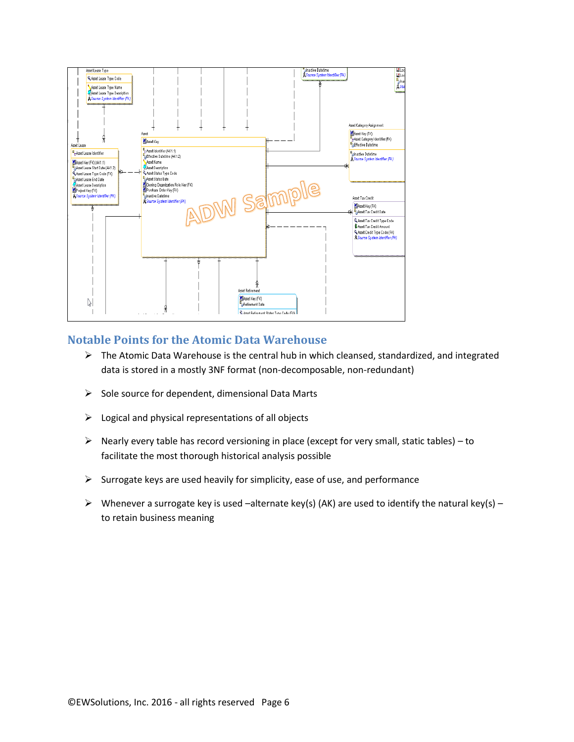

#### <span id="page-5-0"></span>**Notable Points for the Atomic Data Warehouse**

- $\triangleright$  The Atomic Data Warehouse is the central hub in which cleansed, standardized, and integrated data is stored in a mostly 3NF format (non-decomposable, non-redundant)
- $\triangleright$  Sole source for dependent, dimensional Data Marts
- $\triangleright$  Logical and physical representations of all objects
- $\triangleright$  Nearly every table has record versioning in place (except for very small, static tables) to facilitate the most thorough historical analysis possible
- $\triangleright$  Surrogate keys are used heavily for simplicity, ease of use, and performance
- Whenever a surrogate key is used –alternate key(s) (AK) are used to identify the natural key(s) to retain business meaning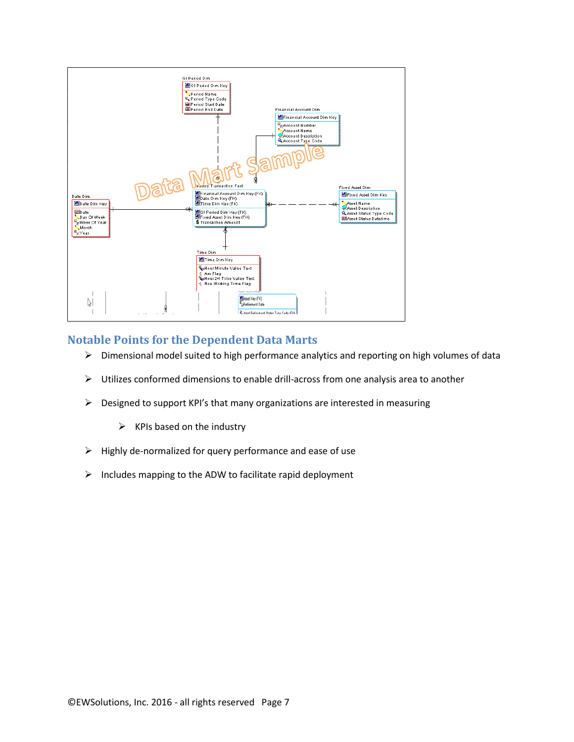

#### <span id="page-6-0"></span>**Notable Points for the Dependent Data Marts**

- $\triangleright$  Dimensional model suited to high performance analytics and reporting on high volumes of data
- $\triangleright$  Utilizes conformed dimensions to enable drill-across from one analysis area to another
- $\triangleright$  Designed to support KPI's that many organizations are interested in measuring
	- $\triangleright$  KPIs based on the industry
- $\triangleright$  Highly de-normalized for query performance and ease of use
- $\triangleright$  Includes mapping to the ADW to facilitate rapid deployment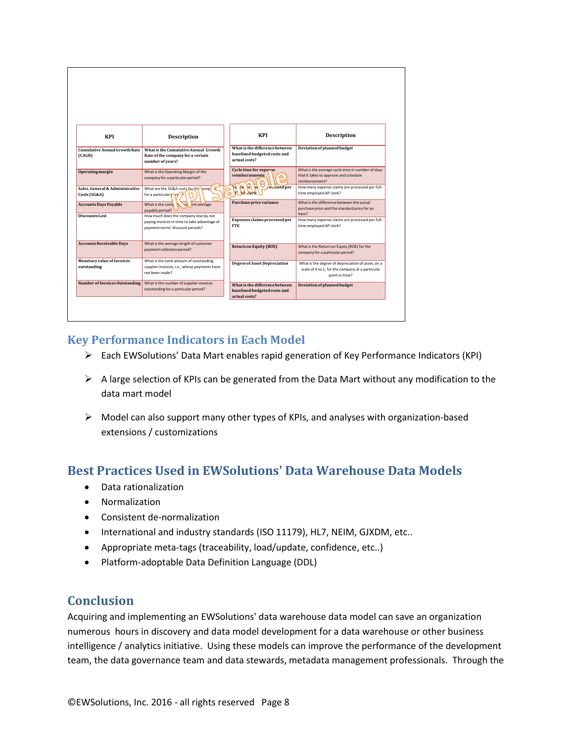| <b>KPI</b>                                      | <b>Description</b>                                                                                                        |   | KPI                                                                             | <b>Description</b>                                                                                                      |
|-------------------------------------------------|---------------------------------------------------------------------------------------------------------------------------|---|---------------------------------------------------------------------------------|-------------------------------------------------------------------------------------------------------------------------|
| <b>Cumulative Annual Growth Rate</b><br>(CAGR)  | What is the Cumulative Annual Growth<br>Rate of the company for a certain<br>number of years?                             | Ō | What is the difference between<br>baselined budgeted costs and<br>actual costs? | Deviation of planned budget                                                                                             |
| Operating margin                                | What is the Operating Margin of the<br>company for a particular period?                                                   |   | Cycle time for expense<br>reimbursements                                        | What is the average cycle time in number of days<br>that it takes to approve and schedule<br>reimbursement?             |
| Sales, General & Administrative<br>Costs (SG&A) | What are the SG&A costs for the somp<br>for a particular <b>r</b> rid                                                     |   | <b>EN PO ES DE</b><br><b>rocessed</b> per                                       | How many expense claims are processed per full-<br>time employed AP clerk?                                              |
| <b>Accounts Days Payable</b>                    | What is the comp $\mathbf{h}$ .<br>cu ent average<br>pavable period?                                                      |   | Purchase price variance                                                         | What is the difference between the actual<br>purchase price and the standard price for an<br>item?                      |
| Discounts Lost                                  | How much does the company lose by not<br>paying invoices in time to take advantage of<br>payment terms' discount periods? |   | Expenses claims processed per<br><b>FTE</b>                                     | How many expense claims are processed per full-<br>time employed AP clerk?                                              |
| <b>Accounts Receivable Days</b>                 | What is the average length of customer<br>payment collection period?                                                      |   | <b>Return on Equity (ROE)</b>                                                   | What is the Return on Equity (ROE) for the<br>company for a particular period?                                          |
| Monetary value of invoices<br>outstanding       | What is the total amount of outstanding<br>supplier invoices, i.e., whose payments have<br>not been made?                 |   | <b>Degree of Asset Depreciation</b>                                             | What is the degree of depreciation of asset, on a<br>scale of 0 to 1, for the company at a particular<br>point in time? |
| <b>Number of Invoices Outstanding</b>           | What is the number of supplier invoices<br>outstanding for a particular period?                                           |   | What is the difference between<br>baselined budgeted costs and<br>actual costs? | Deviation of planned budget                                                                                             |

#### <span id="page-7-0"></span>**Key Performance Indicators in Each Model**

- Each EWSolutions' Data Mart enables rapid generation of Key Performance Indicators (KPI)
- $\triangleright$  A large selection of KPIs can be generated from the Data Mart without any modification to the data mart model
- $\triangleright$  Model can also support many other types of KPIs, and analyses with organization-based extensions / customizations

## <span id="page-7-1"></span>**Best Practices Used in EWSolutions' Data Warehouse Data Models**

- Data rationalization
- Normalization
- Consistent de-normalization
- International and industry standards (ISO 11179), HL7, NEIM, GJXDM, etc..
- Appropriate meta-tags (traceability, load/update, confidence, etc..)
- Platform-adoptable Data Definition Language (DDL)

### <span id="page-7-2"></span>**Conclusion**

Acquiring and implementing an EWSolutions' data warehouse data model can save an organization numerous hours in discovery and data model development for a data warehouse or other business intelligence / analytics initiative. Using these models can improve the performance of the development team, the data governance team and data stewards, metadata management professionals. Through the